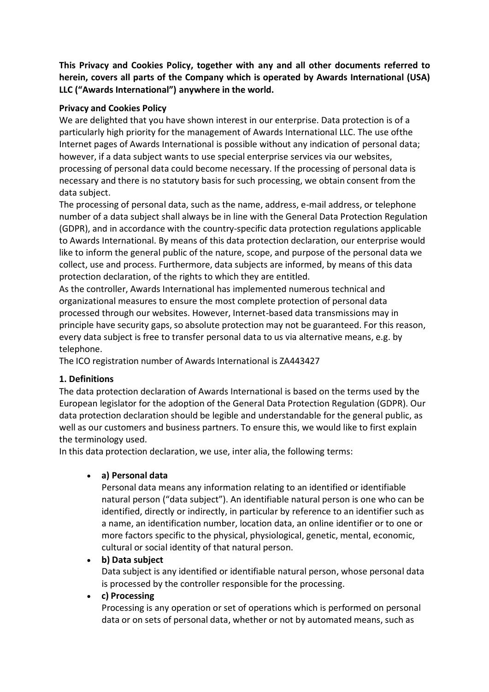**This Privacy and Cookies Policy, together with any and all other documents referred to herein, covers all parts of the Company which is operated by Awards International (USA) LLC ("Awards International") anywhere in the world.**

## **Privacy and Cookies Policy**

We are delighted that you have shown interest in our enterprise. Data protection is of a particularly high priority for the management of Awards International LLC. The use ofthe Internet pages of Awards International is possible without any indication of personal data; however, if a data subject wants to use special enterprise services via our websites, processing of personal data could become necessary. If the processing of personal data is necessary and there is no statutory basis for such processing, we obtain consent from the data subject.

The processing of personal data, such as the name, address, e-mail address, or telephone number of a data subject shall always be in line with the General Data Protection Regulation (GDPR), and in accordance with the country-specific data protection regulations applicable to Awards International. By means of this data protection declaration, our enterprise would like to inform the general public of the nature, scope, and purpose of the personal data we collect, use and process. Furthermore, data subjects are informed, by means of this data protection declaration, of the rights to which they are entitled.

As the controller, Awards International has implemented numerous technical and organizational measures to ensure the most complete protection of personal data processed through our websites. However, Internet-based data transmissions may in principle have security gaps, so absolute protection may not be guaranteed. For this reason, every data subject is free to transfer personal data to us via alternative means, e.g. by telephone.

The ICO registration number of Awards International is ZA443427

## **1. Definitions**

The data protection declaration of Awards International is based on the terms used by the European legislator for the adoption of the General Data Protection Regulation (GDPR). Our data protection declaration should be legible and understandable for the general public, as well as our customers and business partners. To ensure this, we would like to first explain the terminology used.

In this data protection declaration, we use, inter alia, the following terms:

## **a) Personal data**

Personal data means any information relating to an identified or identifiable natural person ("data subject"). An identifiable natural person is one who can be identified, directly or indirectly, in particular by reference to an identifier such as a name, an identification number, location data, an online identifier or to one or more factors specific to the physical, physiological, genetic, mental, economic, cultural or social identity of that natural person.

## **b) Data subject**

Data subject is any identified or identifiable natural person, whose personal data is processed by the controller responsible for the processing.

## **c) Processing**

Processing is any operation or set of operations which is performed on personal data or on sets of personal data, whether or not by automated means, such as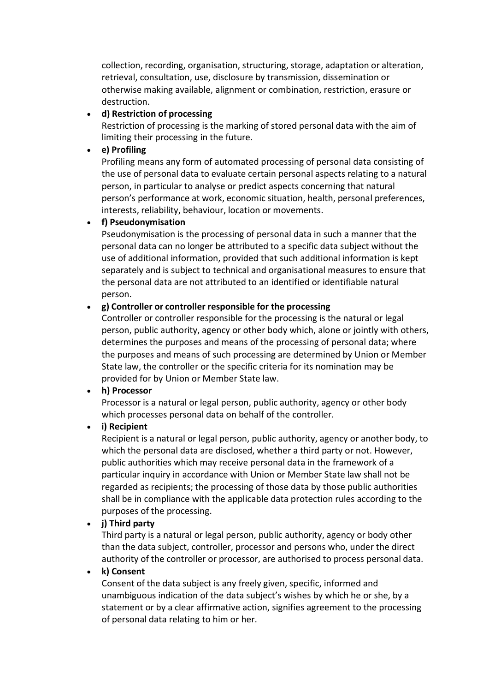collection, recording, organisation, structuring, storage, adaptation or alteration, retrieval, consultation, use, disclosure by transmission, dissemination or otherwise making available, alignment or combination, restriction, erasure or destruction.

# **d) Restriction of processing**

Restriction of processing is the marking of stored personal data with the aim of limiting their processing in the future.

# **e) Profiling**

Profiling means any form of automated processing of personal data consisting of the use of personal data to evaluate certain personal aspects relating to a natural person, in particular to analyse or predict aspects concerning that natural person's performance at work, economic situation, health, personal preferences, interests, reliability, behaviour, location or movements.

# **f) Pseudonymisation**

Pseudonymisation is the processing of personal data in such a manner that the personal data can no longer be attributed to a specific data subject without the use of additional information, provided that such additional information is kept separately and is subject to technical and organisational measures to ensure that the personal data are not attributed to an identified or identifiable natural person.

# **g) Controller or controller responsible for the processing**

Controller or controller responsible for the processing is the natural or legal person, public authority, agency or other body which, alone or jointly with others, determines the purposes and means of the processing of personal data; where the purposes and means of such processing are determined by Union or Member State law, the controller or the specific criteria for its nomination may be provided for by Union or Member State law.

# **h) Processor**

Processor is a natural or legal person, public authority, agency or other body which processes personal data on behalf of the controller.

## **i) Recipient**

Recipient is a natural or legal person, public authority, agency or another body, to which the personal data are disclosed, whether a third party or not. However, public authorities which may receive personal data in the framework of a particular inquiry in accordance with Union or Member State law shall not be regarded as recipients; the processing of those data by those public authorities shall be in compliance with the applicable data protection rules according to the purposes of the processing.

# **j) Third party**

Third party is a natural or legal person, public authority, agency or body other than the data subject, controller, processor and persons who, under the direct authority of the controller or processor, are authorised to process personal data.

## **k) Consent**

Consent of the data subject is any freely given, specific, informed and unambiguous indication of the data subject's wishes by which he or she, by a statement or by a clear affirmative action, signifies agreement to the processing of personal data relating to him or her.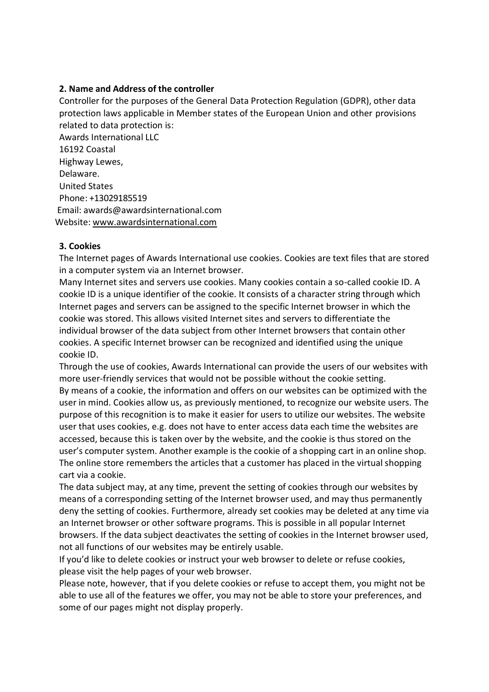## **2. Name and Address of the controller**

Controller for the purposes of the General Data Protection Regulation (GDPR), other data protection laws applicable in Member states of the European Union and other provisions related to data protection is:

Awards International LLC 16192 Coastal Highway Lewes, Delaware. United States Phone: +13029185519 Email: [awards@awardsinternational.com](mailto:awards@awardsinternational.com)  Website: [www.awardsinternational.com](http://www.awardsinternational.com/)

### **3. Cookies**

The Internet pages of Awards International use cookies. Cookies are text files that are stored in a computer system via an Internet browser.

Many Internet sites and servers use cookies. Many cookies contain a so-called cookie ID. A cookie ID is a unique identifier of the cookie. It consists of a character string through which Internet pages and servers can be assigned to the specific Internet browser in which the cookie was stored. This allows visited Internet sites and servers to differentiate the individual browser of the data subject from other Internet browsers that contain other cookies. A specific Internet browser can be recognized and identified using the unique cookie ID.

Through the use of cookies, Awards International can provide the users of our websites with more user-friendly services that would not be possible without the cookie setting. By means of a cookie, the information and offers on our websites can be optimized with the user in mind. Cookies allow us, as previously mentioned, to recognize our website users. The purpose of this recognition is to make it easier for users to utilize our websites. The website user that uses cookies, e.g. does not have to enter access data each time the websites are accessed, because this is taken over by the website, and the cookie is thus stored on the user's computer system. Another example is the cookie of a shopping cart in an online shop. The online store remembers the articles that a customer has placed in the virtual shopping cart via a cookie.

The data subject may, at any time, prevent the setting of cookies through our websites by means of a corresponding setting of the Internet browser used, and may thus permanently deny the setting of cookies. Furthermore, already set cookies may be deleted at any time via an Internet browser or other software programs. This is possible in all popular Internet browsers. If the data subject deactivates the setting of cookies in the Internet browser used, not all functions of our websites may be entirely usable.

If you'd like to delete cookies or instruct your web browser to delete or refuse cookies, please visit the help pages of your web browser.

Please note, however, that if you delete cookies or refuse to accept them, you might not be able to use all of the features we offer, you may not be able to store your preferences, and some of our pages might not display properly.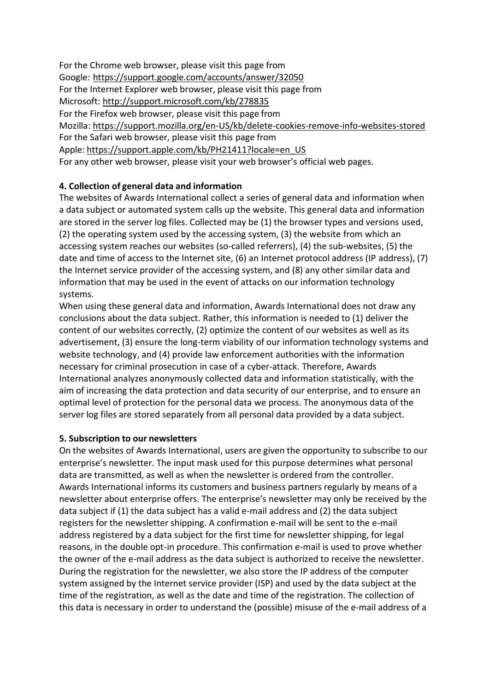For the Chrome web browser, please visit this page from Google: <https://support.google.com/accounts/answer/32050> For the Internet Explorer web browser, please visit this page from Microsoft: [http://support.microsoft.com/kb/278835](https://support.microsoft.com/en-us/help/278835/how-to-delete-cookie-files-in-internet-explorer) For the Firefox web browser, please visit this page from Mozilla:<https://support.mozilla.org/en-US/kb/delete-cookies-remove-info-websites-stored> For the Safari web browser, please visit this page from Apple: [https://support.apple.com/kb/PH21411?locale=en\\_US](https://support.apple.com/kb/PH21411?locale=en_US) For any other web browser, please visit your web browser's official web pages.

# **4. Collection of general data and information**

The websites of Awards International collect a series of general data and information when a data subject or automated system calls up the website. This general data and information are stored in the server log files. Collected may be (1) the browser types and versions used, (2) the operating system used by the accessing system, (3) the website from which an accessing system reaches our websites (so-called referrers), (4) the sub-websites, (5) the date and time of access to the Internet site, (6) an Internet protocol address (IP address), (7) the Internet service provider of the accessing system, and (8) any other similar data and information that may be used in the event of attacks on our information technology systems.

When using these general data and information, Awards International does not draw any conclusions about the data subject. Rather, this information is needed to (1) deliver the content of our websites correctly, (2) optimize the content of our websites as well as its advertisement, (3) ensure the long-term viability of our information technology systems and website technology, and (4) provide law enforcement authorities with the information necessary for criminal prosecution in case of a cyber-attack. Therefore, Awards International analyzes anonymously collected data and information statistically, with the aim of increasing the data protection and data security of our enterprise, and to ensure an optimal level of protection for the personal data we process. The anonymous data of the server log files are stored separately from all personal data provided by a data subject.

## **5. Subscription to our newsletters**

On the websites of Awards International, users are given the opportunity to subscribe to our enterprise's newsletter. The input mask used for this purpose determines what personal data are transmitted, as well as when the newsletter is ordered from the controller. Awards International informs its customers and business partners regularly by means of a newsletter about enterprise offers. The enterprise's newsletter may only be received by the data subject if (1) the data subject has a valid e-mail address and (2) the data subject registers for the newsletter shipping. A confirmation e-mail will be sent to the e-mail address registered by a data subject for the first time for newsletter shipping, for legal reasons, in the double opt-in procedure. This confirmation e-mail is used to prove whether the owner of the e-mail address as the data subject is authorized to receive the newsletter. During the registration for the newsletter, we also store the IP address of the computer system assigned by the Internet service provider (ISP) and used by the data subject at the time of the registration, as well as the date and time of the registration. The collection of this data is necessary in order to understand the (possible) misuse of the e-mail address of a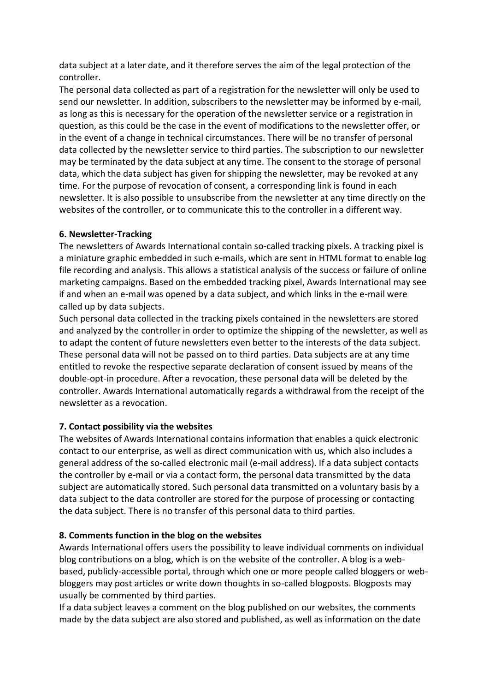data subject at a later date, and it therefore serves the aim of the legal protection of the controller.

The personal data collected as part of a registration for the newsletter will only be used to send our newsletter. In addition, subscribers to the newsletter may be informed by e-mail, as long as this is necessary for the operation of the newsletter service or a registration in question, as this could be the case in the event of modifications to the newsletter offer, or in the event of a change in technical circumstances. There will be no transfer of personal data collected by the newsletter service to third parties. The subscription to our newsletter may be terminated by the data subject at any time. The consent to the storage of personal data, which the data subject has given for shipping the newsletter, may be revoked at any time. For the purpose of revocation of consent, a corresponding link is found in each newsletter. It is also possible to unsubscribe from the newsletter at any time directly on the websites of the controller, or to communicate this to the controller in a different way.

### **6. Newsletter-Tracking**

The newsletters of Awards International contain so-called tracking pixels. A tracking pixel is a miniature graphic embedded in such e-mails, which are sent in HTML format to enable log file recording and analysis. This allows a statistical analysis of the success or failure of online marketing campaigns. Based on the embedded tracking pixel, Awards International may see if and when an e-mail was opened by a data subject, and which links in the e-mail were called up by data subjects.

Such personal data collected in the tracking pixels contained in the newsletters are stored and analyzed by the controller in order to optimize the shipping of the newsletter, as well as to adapt the content of future newsletters even better to the interests of the data subject. These personal data will not be passed on to third parties. Data subjects are at any time entitled to revoke the respective separate declaration of consent issued by means of the double-opt-in procedure. After a revocation, these personal data will be deleted by the controller. Awards International automatically regards a withdrawal from the receipt of the newsletter as a revocation.

## **7. Contact possibility via the websites**

The websites of Awards International contains information that enables a quick electronic contact to our enterprise, as well as direct communication with us, which also includes a general address of the so-called electronic mail (e-mail address). If a data subject contacts the controller by e-mail or via a contact form, the personal data transmitted by the data subject are automatically stored. Such personal data transmitted on a voluntary basis by a data subject to the data controller are stored for the purpose of processing or contacting the data subject. There is no transfer of this personal data to third parties.

## **8. Comments function in the blog on the websites**

Awards International offers users the possibility to leave individual comments on individual blog contributions on a blog, which is on the website of the controller. A blog is a webbased, publicly-accessible portal, through which one or more people called bloggers or webbloggers may post articles or write down thoughts in so-called blogposts. Blogposts may usually be commented by third parties.

If a data subject leaves a comment on the blog published on our websites, the comments made by the data subject are also stored and published, as well as information on the date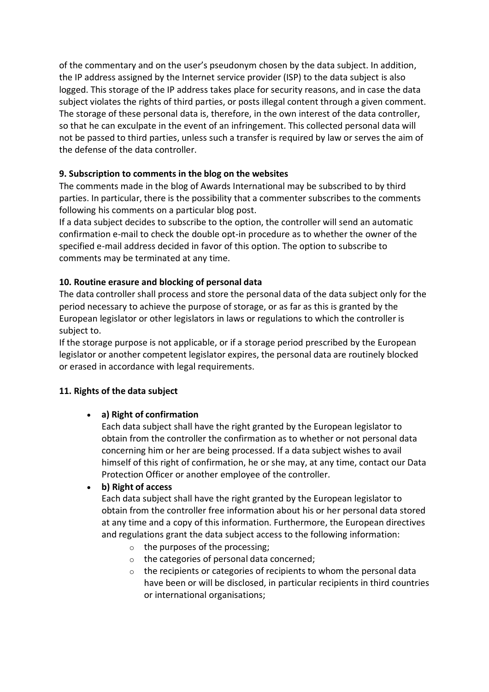of the commentary and on the user's pseudonym chosen by the data subject. In addition, the IP address assigned by the Internet service provider (ISP) to the data subject is also logged. This storage of the IP address takes place for security reasons, and in case the data subject violates the rights of third parties, or posts illegal content through a given comment. The storage of these personal data is, therefore, in the own interest of the data controller, so that he can exculpate in the event of an infringement. This collected personal data will not be passed to third parties, unless such a transfer is required by law or serves the aim of the defense of the data controller.

# **9. Subscription to comments in the blog on the websites**

The comments made in the blog of Awards International may be subscribed to by third parties. In particular, there is the possibility that a commenter subscribes to the comments following his comments on a particular blog post.

If a data subject decides to subscribe to the option, the controller will send an automatic confirmation e-mail to check the double opt-in procedure as to whether the owner of the specified e-mail address decided in favor of this option. The option to subscribe to comments may be terminated at any time.

# **10. Routine erasure and blocking of personal data**

The data controller shall process and store the personal data of the data subject only for the period necessary to achieve the purpose of storage, or as far as this is granted by the European legislator or other legislators in laws or regulations to which the controller is subject to.

If the storage purpose is not applicable, or if a storage period prescribed by the European legislator or another competent legislator expires, the personal data are routinely blocked or erased in accordance with legal requirements.

## **11. Rights of the data subject**

## **a) Right of confirmation**

Each data subject shall have the right granted by the European legislator to obtain from the controller the confirmation as to whether or not personal data concerning him or her are being processed. If a data subject wishes to avail himself of this right of confirmation, he or she may, at any time, contact our Data Protection Officer or another employee of the controller.

## **b) Right of access**

Each data subject shall have the right granted by the European legislator to obtain from the controller free information about his or her personal data stored at any time and a copy of this information. Furthermore, the European directives and regulations grant the data subject access to the following information:

- o the purposes of the processing;
- o the categories of personal data concerned;
- o the recipients or categories of recipients to whom the personal data have been or will be disclosed, in particular recipients in third countries or international organisations;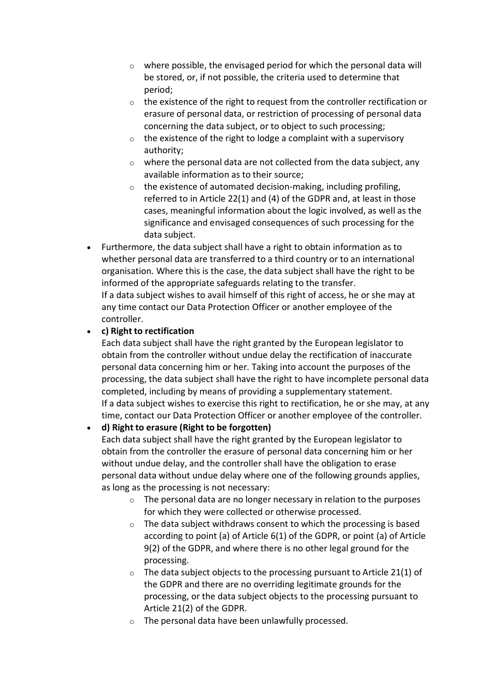- o where possible, the envisaged period for which the personal data will be stored, or, if not possible, the criteria used to determine that period;
- $\circ$  the existence of the right to request from the controller rectification or erasure of personal data, or restriction of processing of personal data concerning the data subject, or to object to such processing;
- $\circ$  the existence of the right to lodge a complaint with a supervisory authority;
- o where the personal data are not collected from the data subject, any available information as to their source;
- $\circ$  the existence of automated decision-making, including profiling, referred to in Article 22(1) and (4) of the GDPR and, at least in those cases, meaningful information about the logic involved, as well as the significance and envisaged consequences of such processing for the data subject.
- Furthermore, the data subject shall have a right to obtain information as to whether personal data are transferred to a third country or to an international organisation. Where this is the case, the data subject shall have the right to be informed of the appropriate safeguards relating to the transfer. If a data subject wishes to avail himself of this right of access, he or she may at any time contact our Data Protection Officer or another employee of the controller.

# **c) Right to rectification**

Each data subject shall have the right granted by the European legislator to obtain from the controller without undue delay the rectification of inaccurate personal data concerning him or her. Taking into account the purposes of the processing, the data subject shall have the right to have incomplete personal data completed, including by means of providing a supplementary statement. If a data subject wishes to exercise this right to rectification, he or she may, at any time, contact our Data Protection Officer or another employee of the controller.

# **d) Right to erasure (Right to be forgotten)**

Each data subject shall have the right granted by the European legislator to obtain from the controller the erasure of personal data concerning him or her without undue delay, and the controller shall have the obligation to erase personal data without undue delay where one of the following grounds applies, as long as the processing is not necessary:

- o The personal data are no longer necessary in relation to the purposes for which they were collected or otherwise processed.
- o The data subject withdraws consent to which the processing is based according to point (a) of Article 6(1) of the GDPR, or point (a) of Article 9(2) of the GDPR, and where there is no other legal ground for the processing.
- o The data subject objects to the processing pursuant to Article 21(1) of the GDPR and there are no overriding legitimate grounds for the processing, or the data subject objects to the processing pursuant to Article 21(2) of the GDPR.
- o The personal data have been unlawfully processed.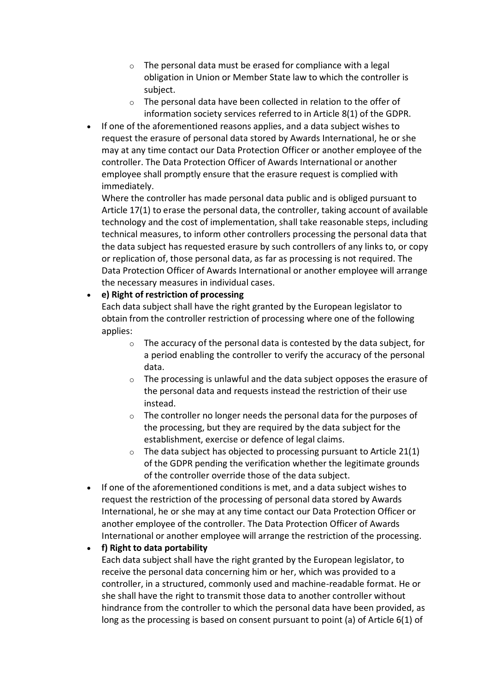- $\circ$  The personal data must be erased for compliance with a legal obligation in Union or Member State law to which the controller is subject.
- o The personal data have been collected in relation to the offer of information society services referred to in Article 8(1) of the GDPR.
- If one of the aforementioned reasons applies, and a data subject wishes to request the erasure of personal data stored by Awards International, he or she may at any time contact our Data Protection Officer or another employee of the controller. The Data Protection Officer of Awards International or another employee shall promptly ensure that the erasure request is complied with immediately.

Where the controller has made personal data public and is obliged pursuant to Article 17(1) to erase the personal data, the controller, taking account of available technology and the cost of implementation, shall take reasonable steps, including technical measures, to inform other controllers processing the personal data that the data subject has requested erasure by such controllers of any links to, or copy or replication of, those personal data, as far as processing is not required. The Data Protection Officer of Awards International or another employee will arrange the necessary measures in individual cases.

## **e) Right of restriction of processing**

Each data subject shall have the right granted by the European legislator to obtain from the controller restriction of processing where one of the following applies:

- $\circ$  The accuracy of the personal data is contested by the data subject, for a period enabling the controller to verify the accuracy of the personal data.
- $\circ$  The processing is unlawful and the data subject opposes the erasure of the personal data and requests instead the restriction of their use instead.
- o The controller no longer needs the personal data for the purposes of the processing, but they are required by the data subject for the establishment, exercise or defence of legal claims.
- $\circ$  The data subject has objected to processing pursuant to Article 21(1) of the GDPR pending the verification whether the legitimate grounds of the controller override those of the data subject.
- If one of the aforementioned conditions is met, and a data subject wishes to request the restriction of the processing of personal data stored by Awards International, he or she may at any time contact our Data Protection Officer or another employee of the controller. The Data Protection Officer of Awards International or another employee will arrange the restriction of the processing.

# **f) Right to data portability**

Each data subject shall have the right granted by the European legislator, to receive the personal data concerning him or her, which was provided to a controller, in a structured, commonly used and machine-readable format. He or she shall have the right to transmit those data to another controller without hindrance from the controller to which the personal data have been provided, as long as the processing is based on consent pursuant to point (a) of Article 6(1) of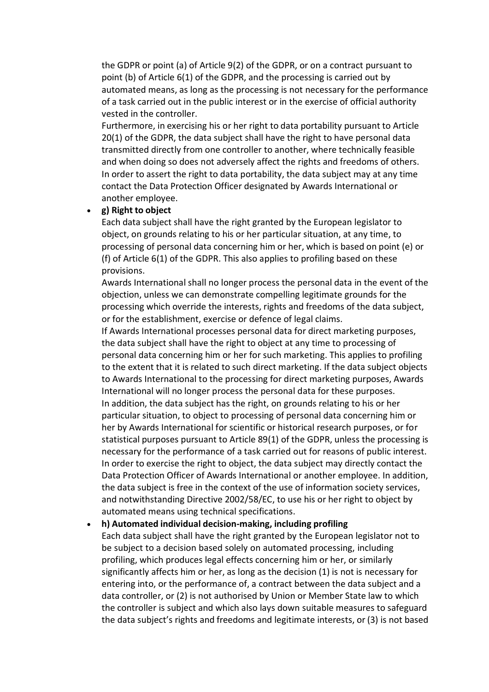the GDPR or point (a) of Article 9(2) of the GDPR, or on a contract pursuant to point (b) of Article 6(1) of the GDPR, and the processing is carried out by automated means, as long as the processing is not necessary for the performance of a task carried out in the public interest or in the exercise of official authority vested in the controller.

Furthermore, in exercising his or her right to data portability pursuant to Article 20(1) of the GDPR, the data subject shall have the right to have personal data transmitted directly from one controller to another, where technically feasible and when doing so does not adversely affect the rights and freedoms of others. In order to assert the right to data portability, the data subject may at any time contact the Data Protection Officer designated by Awards International or another employee.

#### **g) Right to object**

Each data subject shall have the right granted by the European legislator to object, on grounds relating to his or her particular situation, at any time, to processing of personal data concerning him or her, which is based on point (e) or (f) of Article 6(1) of the GDPR. This also applies to profiling based on these provisions.

Awards International shall no longer process the personal data in the event of the objection, unless we can demonstrate compelling legitimate grounds for the processing which override the interests, rights and freedoms of the data subject, or for the establishment, exercise or defence of legal claims.

If Awards International processes personal data for direct marketing purposes, the data subject shall have the right to object at any time to processing of personal data concerning him or her for such marketing. This applies to profiling to the extent that it is related to such direct marketing. If the data subject objects to Awards International to the processing for direct marketing purposes, Awards International will no longer process the personal data for these purposes. In addition, the data subject has the right, on grounds relating to his or her particular situation, to object to processing of personal data concerning him or her by Awards International for scientific or historical research purposes, or for statistical purposes pursuant to Article 89(1) of the GDPR, unless the processing is necessary for the performance of a task carried out for reasons of public interest. In order to exercise the right to object, the data subject may directly contact the Data Protection Officer of Awards International or another employee. In addition, the data subject is free in the context of the use of information society services, and notwithstanding Directive 2002/58/EC, to use his or her right to object by automated means using technical specifications.

### **h) Automated individual decision-making, including profiling**

Each data subject shall have the right granted by the European legislator not to be subject to a decision based solely on automated processing, including profiling, which produces legal effects concerning him or her, or similarly significantly affects him or her, as long as the decision (1) is not is necessary for entering into, or the performance of, a contract between the data subject and a data controller, or (2) is not authorised by Union or Member State law to which the controller is subject and which also lays down suitable measures to safeguard the data subject's rights and freedoms and legitimate interests, or (3) is not based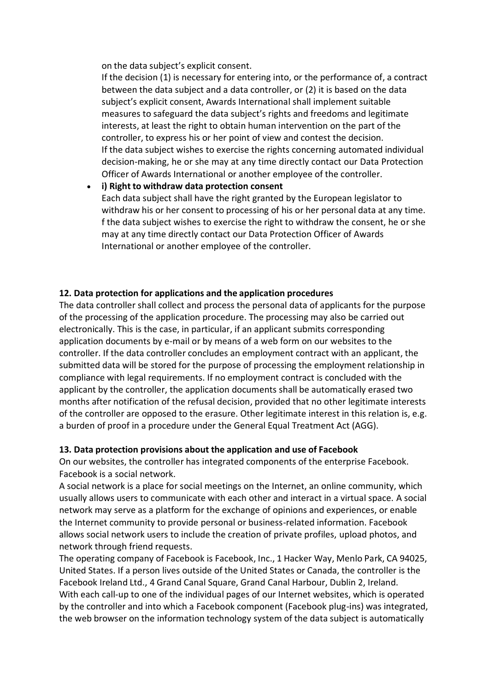on the data subject's explicit consent.

If the decision (1) is necessary for entering into, or the performance of, a contract between the data subject and a data controller, or (2) it is based on the data subject's explicit consent, Awards International shall implement suitable measures to safeguard the data subject's rights and freedoms and legitimate interests, at least the right to obtain human intervention on the part of the controller, to express his or her point of view and contest the decision. If the data subject wishes to exercise the rights concerning automated individual decision-making, he or she may at any time directly contact our Data Protection Officer of Awards International or another employee of the controller.

**i) Right to withdraw data protection consent**

Each data subject shall have the right granted by the European legislator to withdraw his or her consent to processing of his or her personal data at any time. f the data subject wishes to exercise the right to withdraw the consent, he or she may at any time directly contact our Data Protection Officer of Awards International or another employee of the controller.

## **12. Data protection for applications and the application procedures**

The data controller shall collect and process the personal data of applicants for the purpose of the processing of the application procedure. The processing may also be carried out electronically. This is the case, in particular, if an applicant submits corresponding application documents by e-mail or by means of a web form on our websites to the controller. If the data controller concludes an employment contract with an applicant, the submitted data will be stored for the purpose of processing the employment relationship in compliance with legal requirements. If no employment contract is concluded with the applicant by the controller, the application documents shall be automatically erased two months after notification of the refusal decision, provided that no other legitimate interests of the controller are opposed to the erasure. Other legitimate interest in this relation is, e.g. a burden of proof in a procedure under the General Equal Treatment Act (AGG).

### **13. Data protection provisions about the application and use of Facebook**

On our websites, the controller has integrated components of the enterprise Facebook. Facebook is a social network.

A social network is a place for social meetings on the Internet, an online community, which usually allows users to communicate with each other and interact in a virtual space. A social network may serve as a platform for the exchange of opinions and experiences, or enable the Internet community to provide personal or business-related information. Facebook allows social network users to include the creation of private profiles, upload photos, and network through friend requests.

The operating company of Facebook is Facebook, Inc., 1 Hacker Way, Menlo Park, CA 94025, United States. If a person lives outside of the United States or Canada, the controller is the Facebook Ireland Ltd., 4 Grand Canal Square, Grand Canal Harbour, Dublin 2, Ireland. With each call-up to one of the individual pages of our Internet websites, which is operated by the controller and into which a Facebook component (Facebook plug-ins) was integrated, the web browser on the information technology system of the data subject is automatically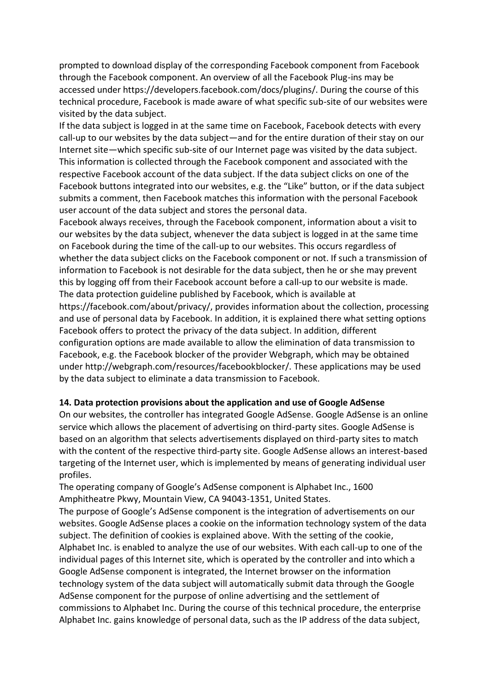prompted to download display of the corresponding Facebook component from Facebook through the Facebook component. An overview of all the Facebook Plug-ins may be accessed under https://developers.facebook.com/docs/plugins/. During the course of this technical procedure, Facebook is made aware of what specific sub-site of our websites were visited by the data subject.

If the data subject is logged in at the same time on Facebook, Facebook detects with every call-up to our websites by the data subject—and for the entire duration of their stay on our Internet site—which specific sub-site of our Internet page was visited by the data subject. This information is collected through the Facebook component and associated with the respective Facebook account of the data subject. If the data subject clicks on one of the Facebook buttons integrated into our websites, e.g. the "Like" button, or if the data subject submits a comment, then Facebook matches this information with the personal Facebook user account of the data subject and stores the personal data.

Facebook always receives, through the Facebook component, information about a visit to our websites by the data subject, whenever the data subject is logged in at the same time on Facebook during the time of the call-up to our websites. This occurs regardless of whether the data subject clicks on the Facebook component or not. If such a transmission of information to Facebook is not desirable for the data subject, then he or she may prevent this by logging off from their Facebook account before a call-up to our website is made. The data protection guideline published by Facebook, which is available at https://facebook.com/about/privacy/, provides information about the collection, processing and use of personal data by Facebook. In addition, it is explained there what setting options Facebook offers to protect the privacy of the data subject. In addition, different configuration options are made available to allow the elimination of data transmission to Facebook, e.g. the Facebook blocker of the provider Webgraph, which may be obtained under [http://webgraph.com/resources/facebookblocker/. T](http://webgraph.com/resources/facebookblocker/)hese applications may be used by the data subject to eliminate a data transmission to Facebook.

### **14. Data protection provisions about the application and use of Google AdSense**

On our websites, the controller has integrated Google AdSense. Google AdSense is an online service which allows the placement of advertising on third-party sites. Google AdSense is based on an algorithm that selects advertisements displayed on third-party sites to match with the content of the respective third-party site. Google AdSense allows an interest-based targeting of the Internet user, which is implemented by means of generating individual user profiles.

The operating company of Google's AdSense component is Alphabet Inc., 1600 Amphitheatre Pkwy, Mountain View, CA 94043-1351, United States.

The purpose of Google's AdSense component is the integration of advertisements on our websites. Google AdSense places a cookie on the information technology system of the data subject. The definition of cookies is explained above. With the setting of the cookie, Alphabet Inc. is enabled to analyze the use of our websites. With each call-up to one of the individual pages of this Internet site, which is operated by the controller and into which a Google AdSense component is integrated, the Internet browser on the information technology system of the data subject will automatically submit data through the Google AdSense component for the purpose of online advertising and the settlement of commissions to Alphabet Inc. During the course of this technical procedure, the enterprise Alphabet Inc. gains knowledge of personal data, such as the IP address of the data subject,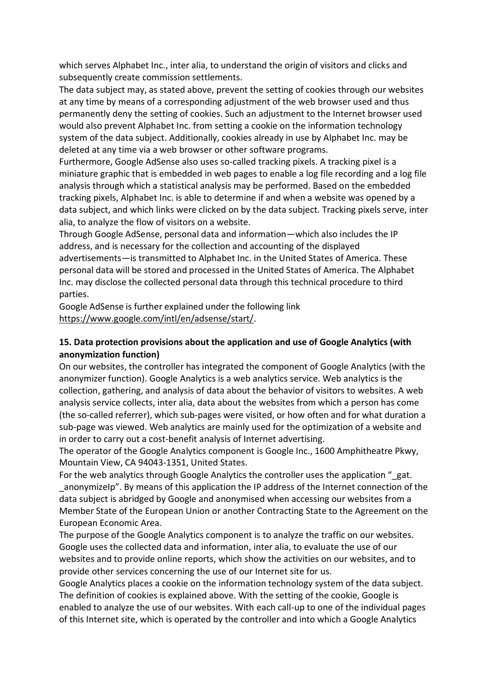which serves Alphabet Inc., inter alia, to understand the origin of visitors and clicks and subsequently create commission settlements.

The data subject may, as stated above, prevent the setting of cookies through our websites at any time by means of a corresponding adjustment of the web browser used and thus permanently deny the setting of cookies. Such an adjustment to the Internet browser used would also prevent Alphabet Inc. from setting a cookie on the information technology system of the data subject. Additionally, cookies already in use by Alphabet Inc. may be deleted at any time via a web browser or other software programs.

Furthermore, Google AdSense also uses so-called tracking pixels. A tracking pixel is a miniature graphic that is embedded in web pages to enable a log file recording and a log file analysis through which a statistical analysis may be performed. Based on the embedded tracking pixels, Alphabet Inc. is able to determine if and when a website was opened by a data subject, and which links were clicked on by the data subject. Tracking pixels serve, inter alia, to analyze the flow of visitors on a website.

Through Google AdSense, personal data and information—which also includes the IP address, and is necessary for the collection and accounting of the displayed advertisements—is transmitted to Alphabet Inc. in the United States of America. These personal data will be stored and processed in the United States of America. The Alphabet Inc. may disclose the collected personal data through this technical procedure to third parties.

Google AdSense is further explained under the following link [https://www.google.com/intl/en/adsense/start/.](https://www.google.com/intl/en/adsense/start/)

# **15. Data protection provisions about the application and use of Google Analytics (with anonymization function)**

On our websites, the controller has integrated the component of Google Analytics (with the anonymizer function). Google Analytics is a web analytics service. Web analytics is the collection, gathering, and analysis of data about the behavior of visitors to websites. A web analysis service collects, inter alia, data about the websites from which a person has come (the so-called referrer), which sub-pages were visited, or how often and for what duration a sub-page was viewed. Web analytics are mainly used for the optimization of a website and in order to carry out a cost-benefit analysis of Internet advertising.

The operator of the Google Analytics component is Google Inc., 1600 Amphitheatre Pkwy, Mountain View, CA 94043-1351, United States.

For the web analytics through Google Analytics the controller uses the application " gat. anonymizeIp". By means of this application the IP address of the Internet connection of the data subject is abridged by Google and anonymised when accessing our websites from a Member State of the European Union or another Contracting State to the Agreement on the European Economic Area.

The purpose of the Google Analytics component is to analyze the traffic on our websites. Google uses the collected data and information, inter alia, to evaluate the use of our websites and to provide online reports, which show the activities on our websites, and to provide other services concerning the use of our Internet site for us.

Google Analytics places a cookie on the information technology system of the data subject. The definition of cookies is explained above. With the setting of the cookie, Google is enabled to analyze the use of our websites. With each call-up to one of the individual pages of this Internet site, which is operated by the controller and into which a Google Analytics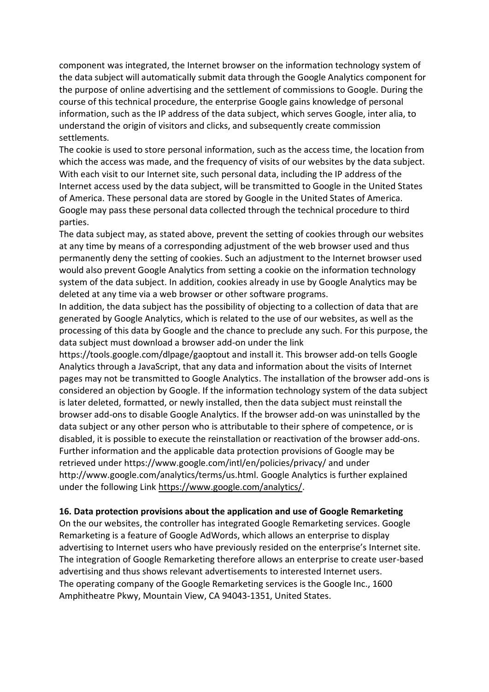component was integrated, the Internet browser on the information technology system of the data subject will automatically submit data through the Google Analytics component for the purpose of online advertising and the settlement of commissions to Google. During the course of this technical procedure, the enterprise Google gains knowledge of personal information, such as the IP address of the data subject, which serves Google, inter alia, to understand the origin of visitors and clicks, and subsequently create commission settlements.

The cookie is used to store personal information, such as the access time, the location from which the access was made, and the frequency of visits of our websites by the data subject. With each visit to our Internet site, such personal data, including the IP address of the Internet access used by the data subject, will be transmitted to Google in the United States of America. These personal data are stored by Google in the United States of America. Google may pass these personal data collected through the technical procedure to third parties.

The data subject may, as stated above, prevent the setting of cookies through our websites at any time by means of a corresponding adjustment of the web browser used and thus permanently deny the setting of cookies. Such an adjustment to the Internet browser used would also prevent Google Analytics from setting a cookie on the information technology system of the data subject. In addition, cookies already in use by Google Analytics may be deleted at any time via a web browser or other software programs.

In addition, the data subject has the possibility of objecting to a collection of data that are generated by Google Analytics, which is related to the use of our websites, as well as the processing of this data by Google and the chance to preclude any such. For this purpose, the data subject must download a browser add-on under the link

https://tools.google.com/dlpage/gaoptout and install it. This browser add-on tells Google Analytics through a JavaScript, that any data and information about the visits of Internet pages may not be transmitted to Google Analytics. The installation of the browser add-ons is considered an objection by Google. If the information technology system of the data subject is later deleted, formatted, or newly installed, then the data subject must reinstall the browser add-ons to disable Google Analytics. If the browser add-on was uninstalled by the data subject or any other person who is attributable to their sphere of competence, or is disabled, it is possible to execute the reinstallation or reactivation of the browser add-ons. Further information and the applicable data protection provisions of Google may be retrieved under https:/[/www.google.com/intl/en/policies/privacy/ a](http://www.google.com/intl/en/policies/privacy/)nd under [http://www.google.com/analytics/terms/us.html. G](http://www.google.com/analytics/terms/us.html)oogle Analytics is further explained under the following Link [https://www.google.com/analytics/.](https://www.google.com/analytics/)

#### **16. Data protection provisions about the application and use of Google Remarketing**

On the our websites, the controller has integrated Google Remarketing services. Google Remarketing is a feature of Google AdWords, which allows an enterprise to display advertising to Internet users who have previously resided on the enterprise's Internet site. The integration of Google Remarketing therefore allows an enterprise to create user-based advertising and thus shows relevant advertisements to interested Internet users. The operating company of the Google Remarketing services is the Google Inc., 1600 Amphitheatre Pkwy, Mountain View, CA 94043-1351, United States.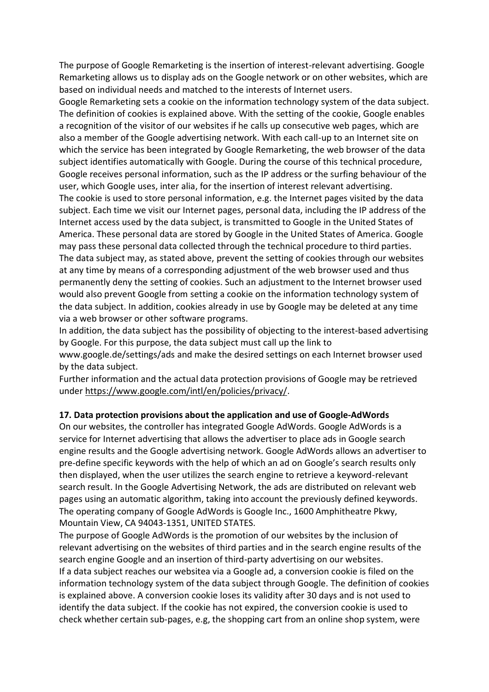The purpose of Google Remarketing is the insertion of interest-relevant advertising. Google Remarketing allows us to display ads on the Google network or on other websites, which are based on individual needs and matched to the interests of Internet users.

Google Remarketing sets a cookie on the information technology system of the data subject. The definition of cookies is explained above. With the setting of the cookie, Google enables a recognition of the visitor of our websites if he calls up consecutive web pages, which are also a member of the Google advertising network. With each call-up to an Internet site on which the service has been integrated by Google Remarketing, the web browser of the data subject identifies automatically with Google. During the course of this technical procedure, Google receives personal information, such as the IP address or the surfing behaviour of the user, which Google uses, inter alia, for the insertion of interest relevant advertising. The cookie is used to store personal information, e.g. the Internet pages visited by the data subject. Each time we visit our Internet pages, personal data, including the IP address of the Internet access used by the data subject, is transmitted to Google in the United States of America. These personal data are stored by Google in the United States of America. Google may pass these personal data collected through the technical procedure to third parties. The data subject may, as stated above, prevent the setting of cookies through our websites at any time by means of a corresponding adjustment of the web browser used and thus permanently deny the setting of cookies. Such an adjustment to the Internet browser used would also prevent Google from setting a cookie on the information technology system of the data subject. In addition, cookies already in use by Google may be deleted at any time via a web browser or other software programs.

In addition, the data subject has the possibility of objecting to the interest-based advertising by Google. For this purpose, the data subject must call up the link to

[www.google.de/settings/ads a](http://www.google.de/settings/ads)nd make the desired settings on each Internet browser used by the data subject.

Further information and the actual data protection provisions of Google may be retrieved under [https://www.google.com/intl/en/policies/privacy/.](https://www.google.com/intl/en/policies/privacy/)

### **17. Data protection provisions about the application and use of Google-AdWords**

On our websites, the controller has integrated Google AdWords. Google AdWords is a service for Internet advertising that allows the advertiser to place ads in Google search engine results and the Google advertising network. Google AdWords allows an advertiser to pre-define specific keywords with the help of which an ad on Google's search results only then displayed, when the user utilizes the search engine to retrieve a keyword-relevant search result. In the Google Advertising Network, the ads are distributed on relevant web pages using an automatic algorithm, taking into account the previously defined keywords. The operating company of Google AdWords is Google Inc., 1600 Amphitheatre Pkwy, Mountain View, CA 94043-1351, UNITED STATES.

The purpose of Google AdWords is the promotion of our websites by the inclusion of relevant advertising on the websites of third parties and in the search engine results of the search engine Google and an insertion of third-party advertising on our websites. If a data subject reaches our websitea via a Google ad, a conversion cookie is filed on the information technology system of the data subject through Google. The definition of cookies is explained above. A conversion cookie loses its validity after 30 days and is not used to identify the data subject. If the cookie has not expired, the conversion cookie is used to check whether certain sub-pages, e.g, the shopping cart from an online shop system, were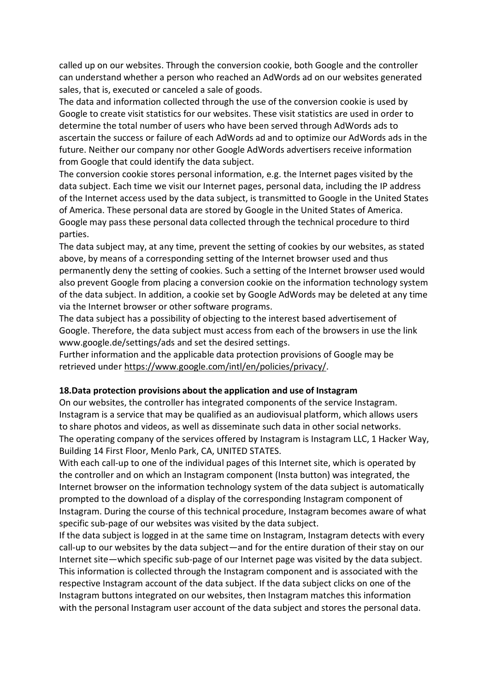called up on our websites. Through the conversion cookie, both Google and the controller can understand whether a person who reached an AdWords ad on our websites generated sales, that is, executed or canceled a sale of goods.

The data and information collected through the use of the conversion cookie is used by Google to create visit statistics for our websites. These visit statistics are used in order to determine the total number of users who have been served through AdWords ads to ascertain the success or failure of each AdWords ad and to optimize our AdWords ads in the future. Neither our company nor other Google AdWords advertisers receive information from Google that could identify the data subject.

The conversion cookie stores personal information, e.g. the Internet pages visited by the data subject. Each time we visit our Internet pages, personal data, including the IP address of the Internet access used by the data subject, is transmitted to Google in the United States of America. These personal data are stored by Google in the United States of America. Google may pass these personal data collected through the technical procedure to third parties.

The data subject may, at any time, prevent the setting of cookies by our websites, as stated above, by means of a corresponding setting of the Internet browser used and thus permanently deny the setting of cookies. Such a setting of the Internet browser used would also prevent Google from placing a conversion cookie on the information technology system of the data subject. In addition, a cookie set by Google AdWords may be deleted at any time via the Internet browser or other software programs.

The data subject has a possibility of objecting to the interest based advertisement of Google. Therefore, the data subject must access from each of the browsers in use the link [www.google.de/settings/ads a](http://www.google.de/settings/ads)nd set the desired settings.

Further information and the applicable data protection provisions of Google may be retrieved under [https://www.google.com/intl/en/policies/privacy/.](https://www.google.com/intl/en/policies/privacy/)

### **18.Data protection provisions about the application and use of Instagram**

On our websites, the controller has integrated components of the service Instagram. Instagram is a service that may be qualified as an audiovisual platform, which allows users to share photos and videos, as well as disseminate such data in other social networks. The operating company of the services offered by Instagram is Instagram LLC, 1 Hacker Way, Building 14 First Floor, Menlo Park, CA, UNITED STATES.

With each call-up to one of the individual pages of this Internet site, which is operated by the controller and on which an Instagram component (Insta button) was integrated, the Internet browser on the information technology system of the data subject is automatically prompted to the download of a display of the corresponding Instagram component of Instagram. During the course of this technical procedure, Instagram becomes aware of what specific sub-page of our websites was visited by the data subject.

If the data subject is logged in at the same time on Instagram, Instagram detects with every call-up to our websites by the data subject—and for the entire duration of their stay on our Internet site—which specific sub-page of our Internet page was visited by the data subject. This information is collected through the Instagram component and is associated with the respective Instagram account of the data subject. If the data subject clicks on one of the Instagram buttons integrated on our websites, then Instagram matches this information with the personal Instagram user account of the data subject and stores the personal data.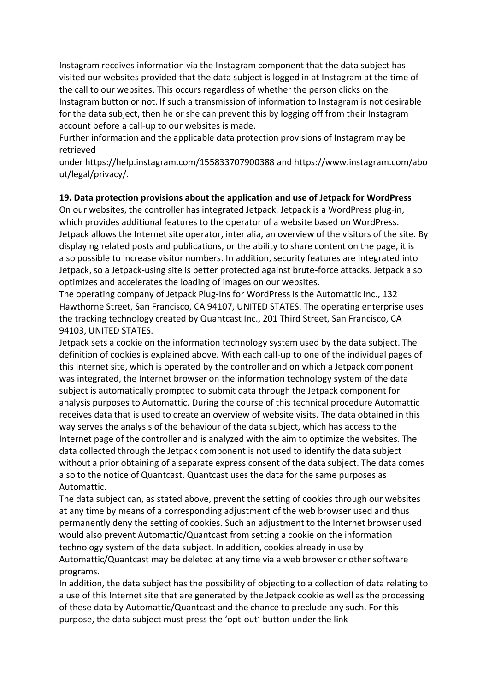Instagram receives information via the Instagram component that the data subject has visited our websites provided that the data subject is logged in at Instagram at the time of the call to our websites. This occurs regardless of whether the person clicks on the Instagram button or not. If such a transmission of information to Instagram is not desirable for the data subject, then he or she can prevent this by logging off from their Instagram account before a call-up to our websites is made.

Further information and the applicable data protection provisions of Instagram may be retrieved

under [https://help.instagram.com/155833707900388 a](https://help.instagram.com/155833707900388)nd [https://www.instagram.com/abo](https://www.instagram.com/about/legal/privacy/) [ut/legal/privacy/.](https://www.instagram.com/about/legal/privacy/)

## **19. Data protection provisions about the application and use of Jetpack for WordPress**

On our websites, the controller has integrated Jetpack. Jetpack is a WordPress plug-in, which provides additional features to the operator of a website based on WordPress. Jetpack allows the Internet site operator, inter alia, an overview of the visitors of the site. By displaying related posts and publications, or the ability to share content on the page, it is also possible to increase visitor numbers. In addition, security features are integrated into Jetpack, so a Jetpack-using site is better protected against brute-force attacks. Jetpack also optimizes and accelerates the loading of images on our websites.

The operating company of Jetpack Plug-Ins for WordPress is the Automattic Inc., 132 Hawthorne Street, San Francisco, CA 94107, UNITED STATES. The operating enterprise uses the tracking technology created by Quantcast Inc., 201 Third Street, San Francisco, CA 94103, UNITED STATES.

Jetpack sets a cookie on the information technology system used by the data subject. The definition of cookies is explained above. With each call-up to one of the individual pages of this Internet site, which is operated by the controller and on which a Jetpack component was integrated, the Internet browser on the information technology system of the data subject is automatically prompted to submit data through the Jetpack component for analysis purposes to Automattic. During the course of this technical procedure Automattic receives data that is used to create an overview of website visits. The data obtained in this way serves the analysis of the behaviour of the data subject, which has access to the Internet page of the controller and is analyzed with the aim to optimize the websites. The data collected through the Jetpack component is not used to identify the data subject without a prior obtaining of a separate express consent of the data subject. The data comes also to the notice of Quantcast. Quantcast uses the data for the same purposes as Automattic.

The data subject can, as stated above, prevent the setting of cookies through our websites at any time by means of a corresponding adjustment of the web browser used and thus permanently deny the setting of cookies. Such an adjustment to the Internet browser used would also prevent Automattic/Quantcast from setting a cookie on the information technology system of the data subject. In addition, cookies already in use by Automattic/Quantcast may be deleted at any time via a web browser or other software programs.

In addition, the data subject has the possibility of objecting to a collection of data relating to a use of this Internet site that are generated by the Jetpack cookie as well as the processing of these data by Automattic/Quantcast and the chance to preclude any such. For this purpose, the data subject must press the 'opt-out' button under the link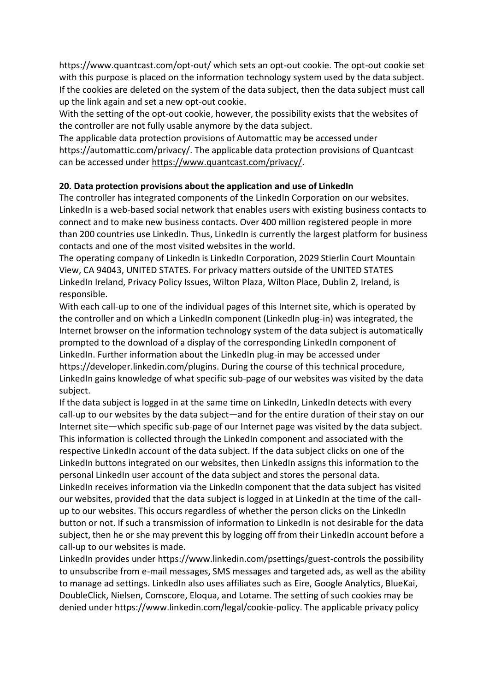https:/[/www.quantcast.com/opt-out/ w](http://www.quantcast.com/opt-out/)hich sets an opt-out cookie. The opt-out cookie set with this purpose is placed on the information technology system used by the data subject. If the cookies are deleted on the system of the data subject, then the data subject must call up the link again and set a new opt-out cookie.

With the setting of the opt-out cookie, however, the possibility exists that the websites of the controller are not fully usable anymore by the data subject.

The applicable data protection provisions of Automattic may be accessed under https://automattic.com/privacy/. The applicable data protection provisions of Quantcast can be accessed under [https://www.quantcast.com/privacy/.](https://www.quantcast.com/privacy/)

# **20. Data protection provisions about the application and use of LinkedIn**

The controller has integrated components of the LinkedIn Corporation on our websites. LinkedIn is a web-based social network that enables users with existing business contacts to connect and to make new business contacts. Over 400 million registered people in more than 200 countries use LinkedIn. Thus, LinkedIn is currently the largest platform for business contacts and one of the most visited websites in the world.

The operating company of LinkedIn is LinkedIn Corporation, 2029 Stierlin Court Mountain View, CA 94043, UNITED STATES. For privacy matters outside of the UNITED STATES LinkedIn Ireland, Privacy Policy Issues, Wilton Plaza, Wilton Place, Dublin 2, Ireland, is responsible.

With each call-up to one of the individual pages of this Internet site, which is operated by the controller and on which a LinkedIn component (LinkedIn plug-in) was integrated, the Internet browser on the information technology system of the data subject is automatically prompted to the download of a display of the corresponding LinkedIn component of LinkedIn. Further information about the LinkedIn plug-in may be accessed under https://developer.linkedin.com/plugins. During the course of this technical procedure, LinkedIn gains knowledge of what specific sub-page of our websites was visited by the data subject.

If the data subject is logged in at the same time on LinkedIn, LinkedIn detects with every call-up to our websites by the data subject—and for the entire duration of their stay on our Internet site—which specific sub-page of our Internet page was visited by the data subject. This information is collected through the LinkedIn component and associated with the respective LinkedIn account of the data subject. If the data subject clicks on one of the LinkedIn buttons integrated on our websites, then LinkedIn assigns this information to the personal LinkedIn user account of the data subject and stores the personal data.

LinkedIn receives information via the LinkedIn component that the data subject has visited our websites, provided that the data subject is logged in at LinkedIn at the time of the callup to our websites. This occurs regardless of whether the person clicks on the LinkedIn button or not. If such a transmission of information to LinkedIn is not desirable for the data subject, then he or she may prevent this by logging off from their LinkedIn account before a call-up to our websites is made.

LinkedIn provides under https:/[/www.linkedin.com/psettings/guest-controls t](http://www.linkedin.com/psettings/guest-controls)he possibility to unsubscribe from e-mail messages, SMS messages and targeted ads, as well as the ability to manage ad settings. LinkedIn also uses affiliates such as Eire, Google Analytics, BlueKai, DoubleClick, Nielsen, Comscore, Eloqua, and Lotame. The setting of such cookies may be denied under https:/[/www.linkedin.com/legal/cookie-policy.](http://www.linkedin.com/legal/cookie-policy) The applicable privacy policy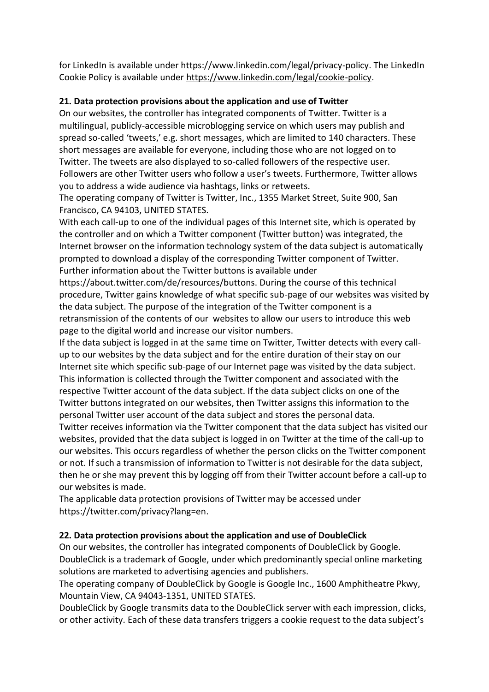for LinkedIn is available under https:/[/www.linkedin.com/legal/privacy-policy. T](http://www.linkedin.com/legal/privacy-policy)he LinkedIn Cookie Policy is available under [https://www.linkedin.com/legal/cookie-policy.](https://www.linkedin.com/legal/cookie-policy)

# **21. Data protection provisions about the application and use of Twitter**

On our websites, the controller has integrated components of Twitter. Twitter is a multilingual, publicly-accessible microblogging service on which users may publish and spread so-called 'tweets,' e.g. short messages, which are limited to 140 characters. These short messages are available for everyone, including those who are not logged on to Twitter. The tweets are also displayed to so-called followers of the respective user. Followers are other Twitter users who follow a user's tweets. Furthermore, Twitter allows you to address a wide audience via hashtags, links or retweets.

The operating company of Twitter is Twitter, Inc., 1355 Market Street, Suite 900, San Francisco, CA 94103, UNITED STATES.

With each call-up to one of the individual pages of this Internet site, which is operated by the controller and on which a Twitter component (Twitter button) was integrated, the Internet browser on the information technology system of the data subject is automatically prompted to download a display of the corresponding Twitter component of Twitter. Further information about the Twitter buttons is available under

https://about.twitter.com/de/resources/buttons. During the course of this technical procedure, Twitter gains knowledge of what specific sub-page of our websites was visited by the data subject. The purpose of the integration of the Twitter component is a retransmission of the contents of our websites to allow our users to introduce this web page to the digital world and increase our visitor numbers.

If the data subject is logged in at the same time on Twitter, Twitter detects with every callup to our websites by the data subject and for the entire duration of their stay on our Internet site which specific sub-page of our Internet page was visited by the data subject. This information is collected through the Twitter component and associated with the respective Twitter account of the data subject. If the data subject clicks on one of the Twitter buttons integrated on our websites, then Twitter assigns this information to the personal Twitter user account of the data subject and stores the personal data.

Twitter receives information via the Twitter component that the data subject has visited our websites, provided that the data subject is logged in on Twitter at the time of the call-up to our websites. This occurs regardless of whether the person clicks on the Twitter component or not. If such a transmission of information to Twitter is not desirable for the data subject, then he or she may prevent this by logging off from their Twitter account before a call-up to our websites is made.

The applicable data protection provisions of Twitter may be accessed under [https://twitter.com/privacy?lang=en.](https://twitter.com/privacy?lang=en)

## **22. Data protection provisions about the application and use of DoubleClick**

On our websites, the controller has integrated components of DoubleClick by Google. DoubleClick is a trademark of Google, under which predominantly special online marketing solutions are marketed to advertising agencies and publishers.

The operating company of DoubleClick by Google is Google Inc., 1600 Amphitheatre Pkwy, Mountain View, CA 94043-1351, UNITED STATES.

DoubleClick by Google transmits data to the DoubleClick server with each impression, clicks, or other activity. Each of these data transfers triggers a cookie request to the data subject's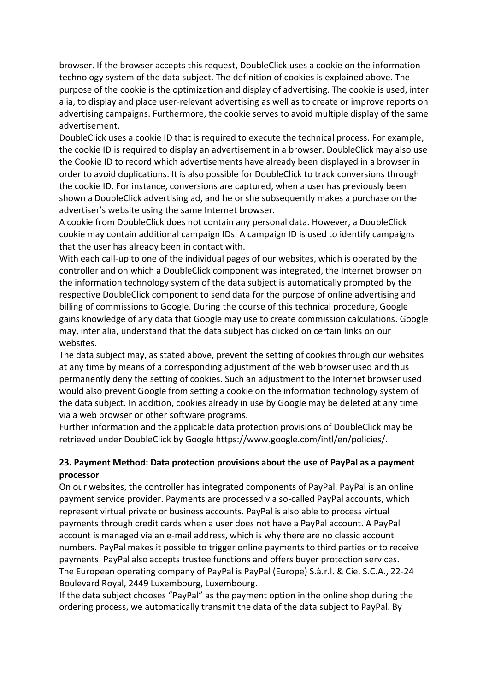browser. If the browser accepts this request, DoubleClick uses a cookie on the information technology system of the data subject. The definition of cookies is explained above. The purpose of the cookie is the optimization and display of advertising. The cookie is used, inter alia, to display and place user-relevant advertising as well as to create or improve reports on advertising campaigns. Furthermore, the cookie serves to avoid multiple display of the same advertisement.

DoubleClick uses a cookie ID that is required to execute the technical process. For example, the cookie ID is required to display an advertisement in a browser. DoubleClick may also use the Cookie ID to record which advertisements have already been displayed in a browser in order to avoid duplications. It is also possible for DoubleClick to track conversions through the cookie ID. For instance, conversions are captured, when a user has previously been shown a DoubleClick advertising ad, and he or she subsequently makes a purchase on the advertiser's website using the same Internet browser.

A cookie from DoubleClick does not contain any personal data. However, a DoubleClick cookie may contain additional campaign IDs. A campaign ID is used to identify campaigns that the user has already been in contact with.

With each call-up to one of the individual pages of our websites, which is operated by the controller and on which a DoubleClick component was integrated, the Internet browser on the information technology system of the data subject is automatically prompted by the respective DoubleClick component to send data for the purpose of online advertising and billing of commissions to Google. During the course of this technical procedure, Google gains knowledge of any data that Google may use to create commission calculations. Google may, inter alia, understand that the data subject has clicked on certain links on our websites.

The data subject may, as stated above, prevent the setting of cookies through our websites at any time by means of a corresponding adjustment of the web browser used and thus permanently deny the setting of cookies. Such an adjustment to the Internet browser used would also prevent Google from setting a cookie on the information technology system of the data subject. In addition, cookies already in use by Google may be deleted at any time via a web browser or other software programs.

Further information and the applicable data protection provisions of DoubleClick may be retrieved under DoubleClick by Google [https://www.google.com/intl/en/policies/.](https://www.google.com/intl/en/policies/)

# **23. Payment Method: Data protection provisions about the use of PayPal as a payment processor**

On our websites, the controller has integrated components of PayPal. PayPal is an online payment service provider. Payments are processed via so-called PayPal accounts, which represent virtual private or business accounts. PayPal is also able to process virtual payments through credit cards when a user does not have a PayPal account. A PayPal account is managed via an e-mail address, which is why there are no classic account numbers. PayPal makes it possible to trigger online payments to third parties or to receive payments. PayPal also accepts trustee functions and offers buyer protection services. The European operating company of PayPal is PayPal (Europe) S.à.r.l. & Cie. S.C.A., 22-24 Boulevard Royal, 2449 Luxembourg, Luxembourg.

If the data subject chooses "PayPal" as the payment option in the online shop during the ordering process, we automatically transmit the data of the data subject to PayPal. By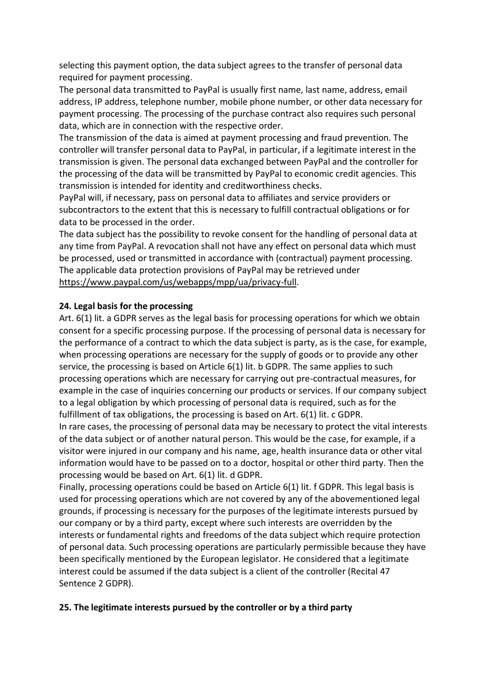selecting this payment option, the data subject agrees to the transfer of personal data required for payment processing.

The personal data transmitted to PayPal is usually first name, last name, address, email address, IP address, telephone number, mobile phone number, or other data necessary for payment processing. The processing of the purchase contract also requires such personal data, which are in connection with the respective order.

The transmission of the data is aimed at payment processing and fraud prevention. The controller will transfer personal data to PayPal, in particular, if a legitimate interest in the transmission is given. The personal data exchanged between PayPal and the controller for the processing of the data will be transmitted by PayPal to economic credit agencies. This transmission is intended for identity and creditworthiness checks.

PayPal will, if necessary, pass on personal data to affiliates and service providers or subcontractors to the extent that this is necessary to fulfill contractual obligations or for data to be processed in the order.

The data subject has the possibility to revoke consent for the handling of personal data at any time from PayPal. A revocation shall not have any effect on personal data which must be processed, used or transmitted in accordance with (contractual) payment processing. The applicable data protection provisions of PayPal may be retrieved under [https://www.paypal.com/us/webapps/mpp/ua/privacy-full.](https://www.paypal.com/us/webapps/mpp/ua/privacy-full)

### **24. Legal basis for the processing**

Art. 6(1) lit. a GDPR serves as the legal basis for processing operations for which we obtain consent for a specific processing purpose. If the processing of personal data is necessary for the performance of a contract to which the data subject is party, as is the case, for example, when processing operations are necessary for the supply of goods or to provide any other service, the processing is based on Article 6(1) lit. b GDPR. The same applies to such processing operations which are necessary for carrying out pre-contractual measures, for example in the case of inquiries concerning our products or services. If our company subject to a legal obligation by which processing of personal data is required, such as for the fulfillment of tax obligations, the processing is based on Art. 6(1) lit. c GDPR.

In rare cases, the processing of personal data may be necessary to protect the vital interests of the data subject or of another natural person. This would be the case, for example, if a visitor were injured in our company and his name, age, health insurance data or other vital information would have to be passed on to a doctor, hospital or other third party. Then the processing would be based on Art. 6(1) lit. d GDPR.

Finally, processing operations could be based on Article 6(1) lit. f GDPR. This legal basis is used for processing operations which are not covered by any of the abovementioned legal grounds, if processing is necessary for the purposes of the legitimate interests pursued by our company or by a third party, except where such interests are overridden by the interests or fundamental rights and freedoms of the data subject which require protection of personal data. Such processing operations are particularly permissible because they have been specifically mentioned by the European legislator. He considered that a legitimate interest could be assumed if the data subject is a client of the controller (Recital 47 Sentence 2 GDPR).

### **25. The legitimate interests pursued by the controller or by a third party**